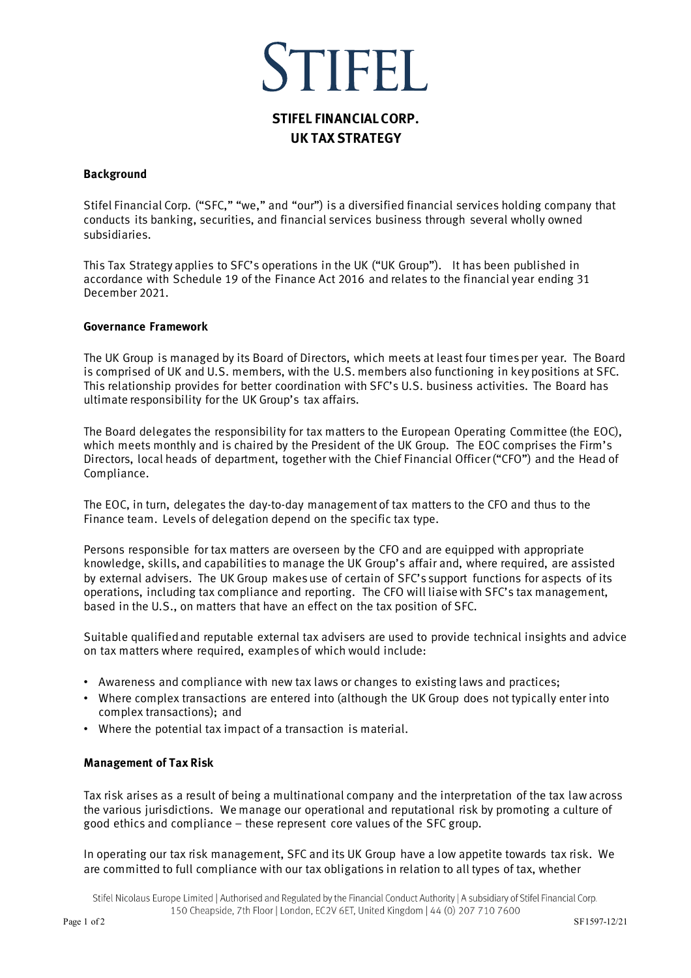# STIFFI

# **STIFEL FINANCIAL CORP. UK TAX STRATEGY**

# **Background**

Stifel Financial Corp. ("SFC," "we," and "our") is a diversified financial services holding company that conducts its banking, securities, and financial services business through several wholly owned subsidiaries.

This Tax Strategy applies to SFC's operations in the UK ("UK Group"). It has been published in accordance with Schedule 19 of the Finance Act 2016 and relates to the financial year ending 31 December 2021.

## **Governance Framework**

The UK Group is managed by its Board of Directors, which meets at least four times per year. The Board is comprised of UK and U.S. members, with the U.S. members also functioning in key positions at SFC. This relationship provides for better coordination with SFC's U.S. business activities. The Board has ultimate responsibility for the UK Group's tax affairs.

The Board delegates the responsibility for tax matters to the European Operating Committee (the EOC), which meets monthly and is chaired by the President of the UK Group. The EOC comprises the Firm's Directors, local heads of department, together with the Chief Financial Officer ("CFO") and the Head of Compliance.

The EOC, in turn, delegates the day-to-day management of tax matters to the CFO and thus to the Finance team. Levels of delegation depend on the specific tax type.

Persons responsible for tax matters are overseen by the CFO and are equipped with appropriate knowledge, skills, and capabilities to manage the UK Group's affair and, where required, are assisted by external advisers. The UK Group makes use of certain of SFC's support functions for aspects of its operations, including tax compliance and reporting. The CFO will liaise with SFC's tax management, based in the U.S., on matters that have an effect on the tax position of SFC.

Suitable qualified and reputable external tax advisers are used to provide technical insights and advice on tax matters where required, examples of which would include:

- Awareness and compliance with new tax laws or changes to existing laws and practices;
- Where complex transactions are entered into (although the UK Group does not typically enter into complex transactions); and
- Where the potential tax impact of a transaction is material.

#### **Management of Tax Risk**

Tax risk arises as a result of being a multinational company and the interpretation of the tax law across the various jurisdictions. We manage our operational and reputational risk by promoting a culture of good ethics and compliance – these represent core values of the SFC group.

In operating our tax risk management, SFC and its UK Group have a low appetite towards tax risk. We are committed to full compliance with our tax obligations in relation to all types of tax, whether

Stifel Nicolaus Europe Limited | Authorised and Regulated by the Financial Conduct Authority | A subsidiary of Stifel Financial Corp. 150 Cheapside, 7th Floor | London, EC2V 6ET, United Kingdom | 44 (0) 207 710 7600